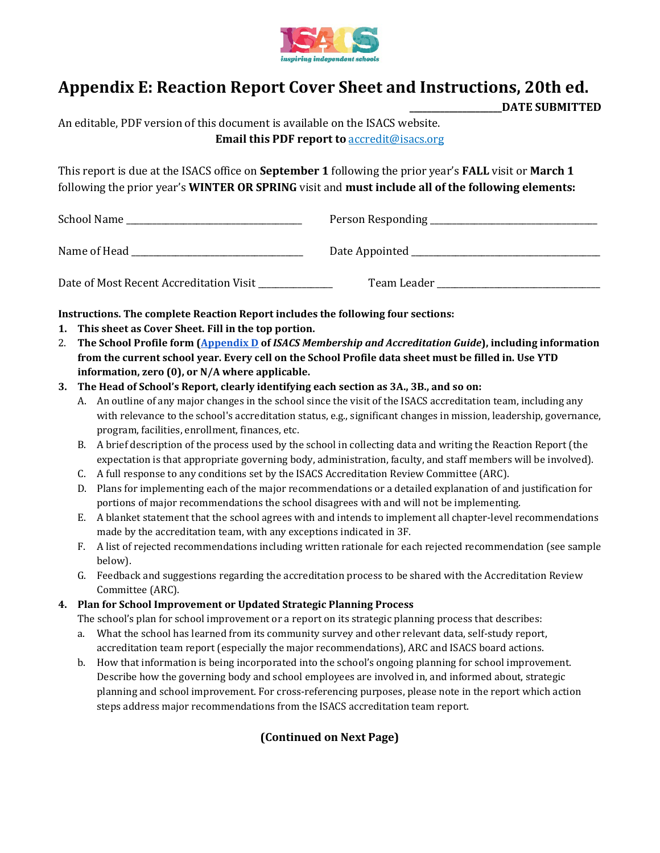

## **Appendix E: Reaction Report Cover Sheet and Instructions, 20th ed.**

**\_\_\_\_\_\_\_\_\_\_\_\_\_\_\_\_\_\_\_\_\_DATE SUBMITTED**

An editable, PDF version of this document is available on the ISACS website. **Email this PDF report to** accredit@isacs.org

This report is due at the ISACS office on **September 1** following the prior year's **FALL** visit or **March 1** following the prior year's **WINTER OR SPRING** visit and **must include all of the following elements:**

| School Name                             |             |
|-----------------------------------------|-------------|
| Name of Head                            |             |
| Date of Most Recent Accreditation Visit | Team Leader |

**Instructions. The complete Reaction Report includes the following four sections:**

- **1. This sheet as Cover Sheet. Fill in the top portion.**
- 2. **The School Profile form (Appendix D of** *ISACS Membership and Accreditation Guide***), including information from the current school year. Every cell on the School Profile data sheet must be filled in. Use YTD information, zero (0), or N/A where applicable.**
- **3. The Head of School's Report, clearly identifying each section as 3A., 3B., and so on:**
	- A. An outline of any major changes in the school since the visit of the ISACS accreditation team, including any with relevance to the school's accreditation status, e.g., significant changes in mission, leadership, governance, program, facilities, enrollment, finances, etc.
	- B. A brief description of the process used by the school in collecting data and writing the Reaction Report (the expectation is that appropriate governing body, administration, faculty, and staff members will be involved).
	- C. A full response to any conditions set by the ISACS Accreditation Review Committee (ARC).
	- D. Plans for implementing each of the major recommendations or a detailed explanation of and justification for portions of major recommendations the school disagrees with and will not be implementing.
	- E. A blanket statement that the school agrees with and intends to implement all chapter-level recommendations made by the accreditation team, with any exceptions indicated in 3F.
	- F. A list of rejected recommendations including written rationale for each rejected recommendation (see sample below).
	- G. Feedback and suggestions regarding the accreditation process to be shared with the Accreditation Review Committee (ARC).

## **4. Plan for School Improvement or Updated Strategic Planning Process**

The school's plan for school improvement or a report on its strategic planning process that describes:

- a. What the school has learned from its community survey and other relevant data, self-study report, accreditation team report (especially the major recommendations), ARC and ISACS board actions.
- b. How that information is being incorporated into the school's ongoing planning for school improvement. Describe how the governing body and school employees are involved in, and informed about, strategic planning and school improvement. For cross-referencing purposes, please note in the report which action steps address major recommendations from the ISACS accreditation team report.

## **(Continued on Next Page)**